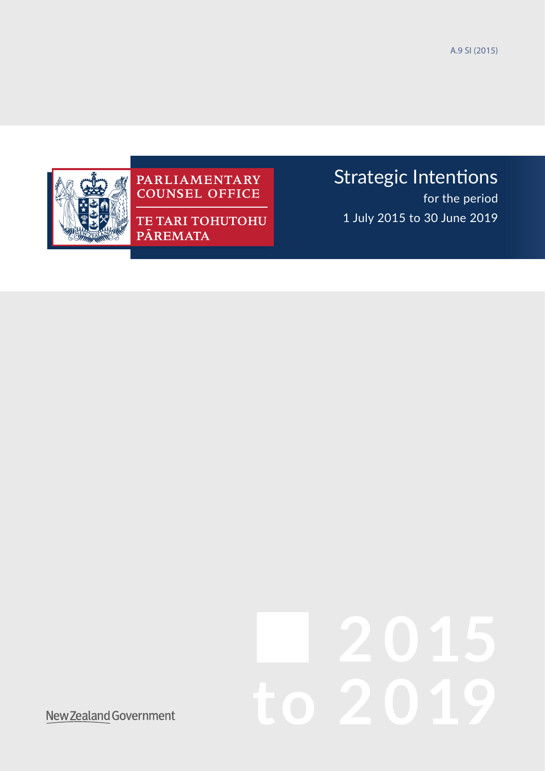A.9 SI (2015)



# PARLIAMENTARY<br>COUNSEL OFFICE

TE TARI TOHUTOHU PĀREMATA

## Strategic Intentions

for the period 1 July 2015 to 30 June 2019

# **2 015 to 2 019**

New Zealand Government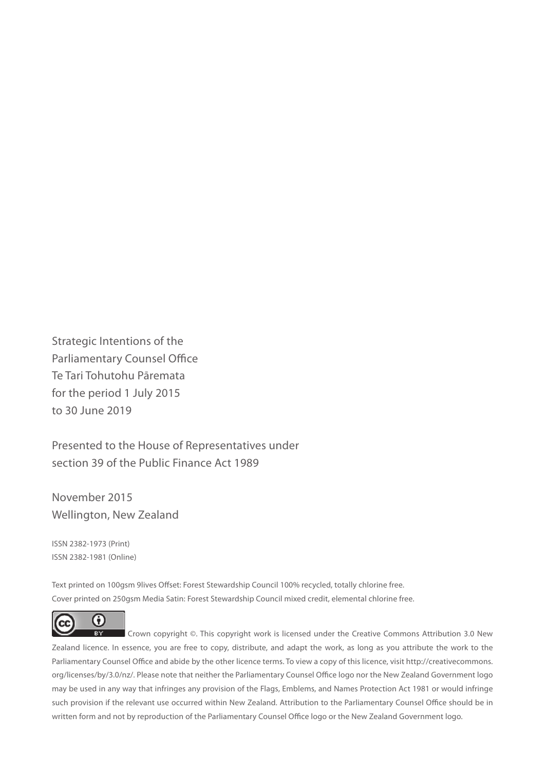Strategic Intentions of the Parliamentary Counsel Office Te Tari Tohutohu Pāremata for the period 1 July 2015 to 30 June 2019

Presented to the House of Representatives under section 39 of the Public Finance Act 1989

November 2015 Wellington, New Zealand

ISSN 2382-1973 (Print) ISSN 2382-1981 (Online)

Text printed on 100gsm 9lives Offset: Forest Stewardship Council 100% recycled, totally chlorine free. Cover printed on 250gsm Media Satin: Forest Stewardship Council mixed credit, elemental chlorine free.



 Crown copyright ©. This copyright work is licensed under the Creative Commons Attribution 3.0 New Zealand licence. In essence, you are free to copy, distribute, and adapt the work, as long as you attribute the work to the Parliamentary Counsel Office and abide by the other licence terms. To view a copy of this licence, visit http://creativecommons. org/licenses/by/3.0/nz/. Please note that neither the Parliamentary Counsel Office logo nor the New Zealand Government logo may be used in any way that infringes any provision of the Flags, Emblems, and Names Protection Act 1981 or would infringe such provision if the relevant use occurred within New Zealand. Attribution to the Parliamentary Counsel Office should be in written form and not by reproduction of the Parliamentary Counsel Office logo or the New Zealand Government logo.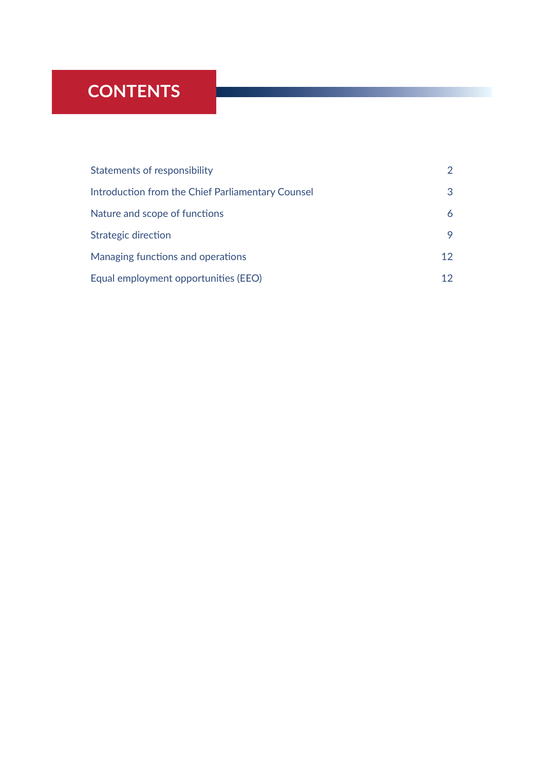### **CONTENTS**

| Statements of responsibility                      | $\mathcal{P}$ |
|---------------------------------------------------|---------------|
| Introduction from the Chief Parliamentary Counsel | 3             |
| Nature and scope of functions                     | 6             |
| Strategic direction                               | 9             |
| Managing functions and operations                 | 12            |
| Equal employment opportunities (EEO)              |               |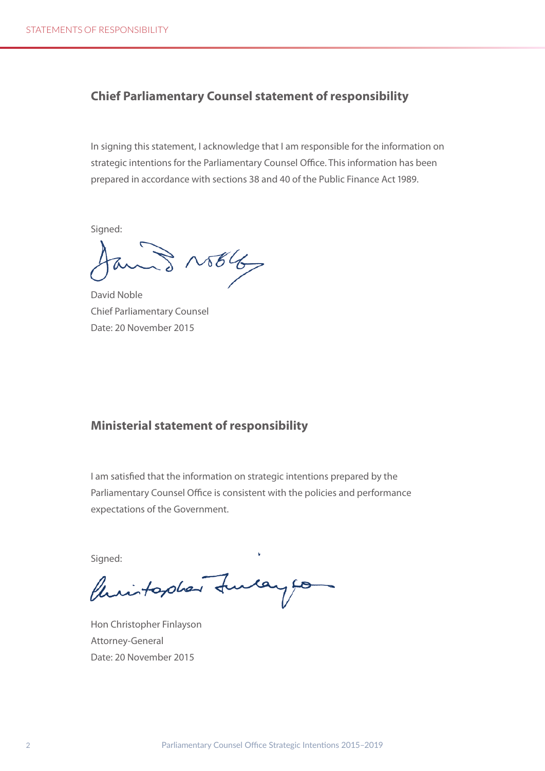#### <span id="page-3-0"></span>**Chief Parliamentary Counsel statement of responsibility**

In signing this statement, I acknowledge that I am responsible for the information on strategic intentions for the Parliamentary Counsel Office. This information has been prepared in accordance with sections 38 and 40 of the Public Finance Act 1989.

Sianed:

 $31566$ 

David Noble Chief Parliamentary Counsel Date: 20 November 2015

#### **Ministerial statement of responsibility**

I am satisfied that the information on strategic intentions prepared by the Parliamentary Counsel Office is consistent with the policies and performance expectations of the Government.

Signed:

Philadelphan function

Hon Christopher Finlayson Attorney-General Date: 20 November 2015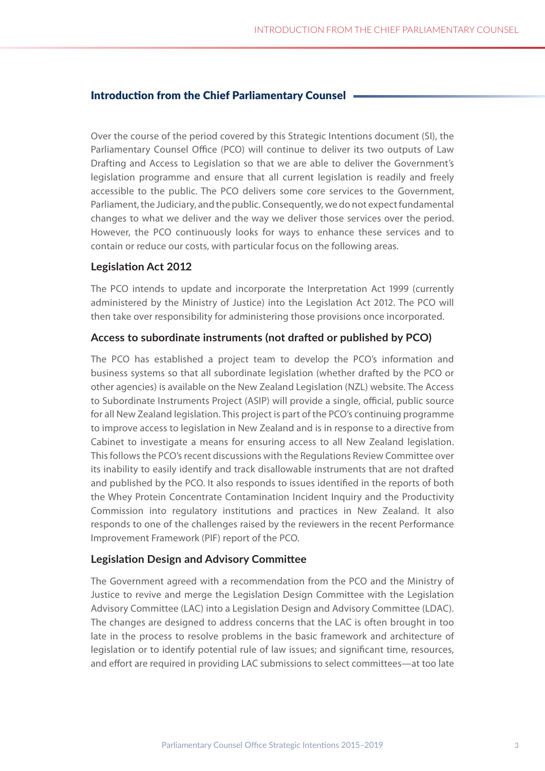#### <span id="page-4-0"></span>Introduction from the Chief Parliamentary Counsel

Over the course of the period covered by this Strategic Intentions document (SI), the Parliamentary Counsel Office (PCO) will continue to deliver its two outputs of Law Drafting and Access to Legislation so that we are able to deliver the Government's legislation programme and ensure that all current legislation is readily and freely accessible to the public. The PCO delivers some core services to the Government, Parliament, the Judiciary, and the public. Consequently, we do not expect fundamental changes to what we deliver and the way we deliver those services over the period. However, the PCO continuously looks for ways to enhance these services and to contain or reduce our costs, with particular focus on the following areas.

#### **Legislation Act 2012**

The PCO intends to update and incorporate the Interpretation Act 1999 (currently administered by the Ministry of Justice) into the Legislation Act 2012. The PCO will then take over responsibility for administering those provisions once incorporated.

#### **Access to subordinate instruments (not drafted or published by PCO)**

The PCO has established a project team to develop the PCO's information and business systems so that all subordinate legislation (whether drafted by the PCO or other agencies) is available on the New Zealand Legislation (NZL) website. The Access to Subordinate Instruments Project (ASIP) will provide a single, official, public source for all New Zealand legislation. This project is part of the PCO's continuing programme to improve access to legislation in New Zealand and is in response to a directive from Cabinet to investigate a means for ensuring access to all New Zealand legislation. This follows the PCO's recent discussions with the Regulations Review Committee over its inability to easily identify and track disallowable instruments that are not drafted and published by the PCO. It also responds to issues identified in the reports of both the Whey Protein Concentrate Contamination Incident Inquiry and the Productivity Commission into regulatory institutions and practices in New Zealand. It also responds to one of the challenges raised by the reviewers in the recent Performance Improvement Framework (PIF) report of the PCO.

#### **Legislation Design and Advisory Committee**

The Government agreed with a recommendation from the PCO and the Ministry of Justice to revive and merge the Legislation Design Committee with the Legislation Advisory Committee (LAC) into a Legislation Design and Advisory Committee (LDAC). The changes are designed to address concerns that the LAC is often brought in too late in the process to resolve problems in the basic framework and architecture of legislation or to identify potential rule of law issues; and significant time, resources, and effort are required in providing LAC submissions to select committees—at too late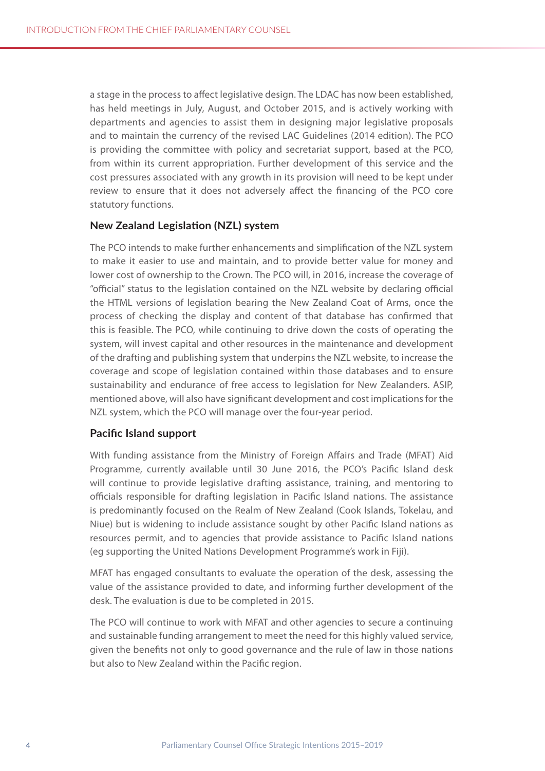a stage in the process to affect legislative design. The LDAC has now been established, has held meetings in July, August, and October 2015, and is actively working with departments and agencies to assist them in designing major legislative proposals and to maintain the currency of the revised LAC Guidelines (2014 edition). The PCO is providing the committee with policy and secretariat support, based at the PCO, from within its current appropriation. Further development of this service and the cost pressures associated with any growth in its provision will need to be kept under review to ensure that it does not adversely affect the financing of the PCO core statutory functions.

#### **New Zealand Legislation (NZL) system**

The PCO intends to make further enhancements and simplification of the NZL system to make it easier to use and maintain, and to provide better value for money and lower cost of ownership to the Crown. The PCO will, in 2016, increase the coverage of "official" status to the legislation contained on the NZL website by declaring official the HTML versions of legislation bearing the New Zealand Coat of Arms, once the process of checking the display and content of that database has confirmed that this is feasible. The PCO, while continuing to drive down the costs of operating the system, will invest capital and other resources in the maintenance and development of the drafting and publishing system that underpins the NZL website, to increase the coverage and scope of legislation contained within those databases and to ensure sustainability and endurance of free access to legislation for New Zealanders. ASIP, mentioned above, will also have significant development and cost implications for the NZL system, which the PCO will manage over the four-year period.

#### **Pacific Island support**

With funding assistance from the Ministry of Foreign Affairs and Trade (MFAT) Aid Programme, currently available until 30 June 2016, the PCO's Pacific Island desk will continue to provide legislative drafting assistance, training, and mentoring to officials responsible for drafting legislation in Pacific Island nations. The assistance is predominantly focused on the Realm of New Zealand (Cook Islands, Tokelau, and Niue) but is widening to include assistance sought by other Pacific Island nations as resources permit, and to agencies that provide assistance to Pacific Island nations (eg supporting the United Nations Development Programme's work in Fiji).

MFAT has engaged consultants to evaluate the operation of the desk, assessing the value of the assistance provided to date, and informing further development of the desk. The evaluation is due to be completed in 2015.

The PCO will continue to work with MFAT and other agencies to secure a continuing and sustainable funding arrangement to meet the need for this highly valued service, given the benefits not only to good governance and the rule of law in those nations but also to New Zealand within the Pacific region.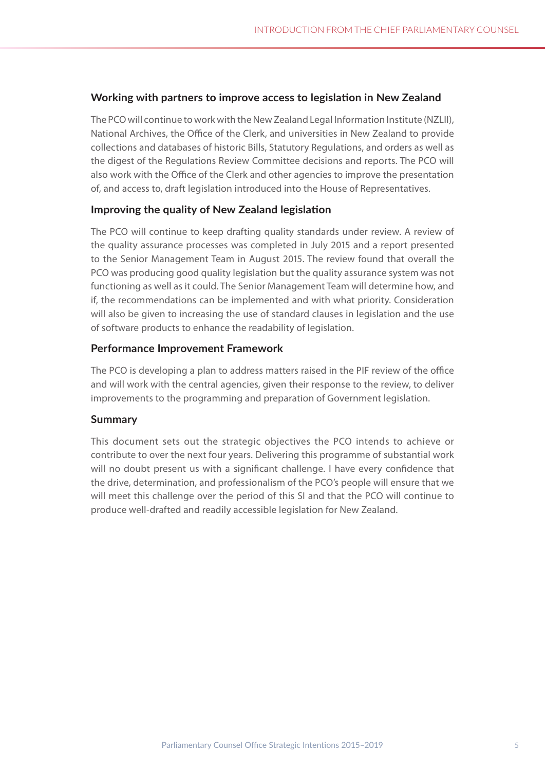#### **Working with partners to improve access to legislation in New Zealand**

The PCO will continue to work with the New Zealand Legal Information Institute (NZLII), National Archives, the Office of the Clerk, and universities in New Zealand to provide collections and databases of historic Bills, Statutory Regulations, and orders as well as the digest of the Regulations Review Committee decisions and reports. The PCO will also work with the Office of the Clerk and other agencies to improve the presentation of, and access to, draft legislation introduced into the House of Representatives.

#### **Improving the quality of New Zealand legislation**

The PCO will continue to keep drafting quality standards under review. A review of the quality assurance processes was completed in July 2015 and a report presented to the Senior Management Team in August 2015. The review found that overall the PCO was producing good quality legislation but the quality assurance system was not functioning as well as it could. The Senior Management Team will determine how, and if, the recommendations can be implemented and with what priority. Consideration will also be given to increasing the use of standard clauses in legislation and the use of software products to enhance the readability of legislation.

#### **Performance Improvement Framework**

The PCO is developing a plan to address matters raised in the PIF review of the office and will work with the central agencies, given their response to the review, to deliver improvements to the programming and preparation of Government legislation.

#### **Summary**

This document sets out the strategic objectives the PCO intends to achieve or contribute to over the next four years. Delivering this programme of substantial work will no doubt present us with a significant challenge. I have every confidence that the drive, determination, and professionalism of the PCO's people will ensure that we will meet this challenge over the period of this SI and that the PCO will continue to produce well-drafted and readily accessible legislation for New Zealand.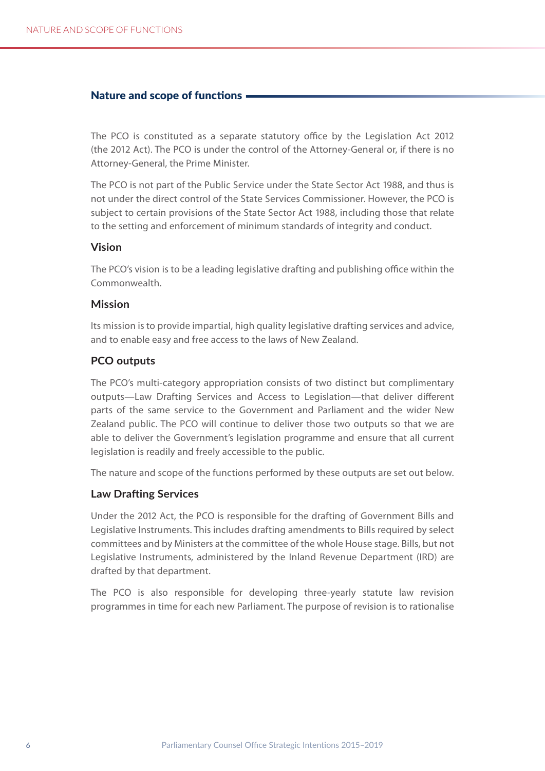#### <span id="page-7-0"></span>Nature and scope of functions

The PCO is constituted as a separate statutory office by the Legislation Act 2012 (the 2012 Act). The PCO is under the control of the Attorney-General or, if there is no Attorney-General, the Prime Minister.

The PCO is not part of the Public Service under the State Sector Act 1988, and thus is not under the direct control of the State Services Commissioner. However, the PCO is subject to certain provisions of the State Sector Act 1988, including those that relate to the setting and enforcement of minimum standards of integrity and conduct.

#### **Vision**

The PCO's vision is to be a leading legislative drafting and publishing office within the Commonwealth.

#### **Mission**

Its mission is to provide impartial, high quality legislative drafting services and advice, and to enable easy and free access to the laws of New Zealand.

#### **PCO outputs**

The PCO's multi-category appropriation consists of two distinct but complimentary outputs—Law Drafting Services and Access to Legislation—that deliver different parts of the same service to the Government and Parliament and the wider New Zealand public. The PCO will continue to deliver those two outputs so that we are able to deliver the Government's legislation programme and ensure that all current legislation is readily and freely accessible to the public.

The nature and scope of the functions performed by these outputs are set out below.

#### **Law Drafting Services**

Under the 2012 Act, the PCO is responsible for the drafting of Government Bills and Legislative Instruments. This includes drafting amendments to Bills required by select committees and by Ministers at the committee of the whole House stage. Bills, but not Legislative Instruments, administered by the Inland Revenue Department (IRD) are drafted by that department.

The PCO is also responsible for developing three-yearly statute law revision programmes in time for each new Parliament. The purpose of revision is to rationalise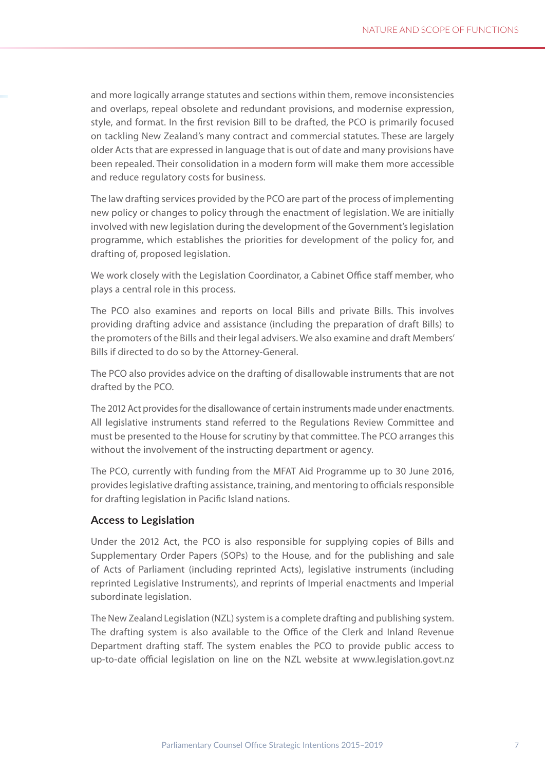and more logically arrange statutes and sections within them, remove inconsistencies and overlaps, repeal obsolete and redundant provisions, and modernise expression, style, and format. In the first revision Bill to be drafted, the PCO is primarily focused on tackling New Zealand's many contract and commercial statutes. These are largely older Acts that are expressed in language that is out of date and many provisions have been repealed. Their consolidation in a modern form will make them more accessible and reduce regulatory costs for business.

The law drafting services provided by the PCO are part of the process of implementing new policy or changes to policy through the enactment of legislation. We are initially involved with new legislation during the development of the Government's legislation programme, which establishes the priorities for development of the policy for, and drafting of, proposed legislation.

We work closely with the Legislation Coordinator, a Cabinet Office staff member, who plays a central role in this process.

The PCO also examines and reports on local Bills and private Bills. This involves providing drafting advice and assistance (including the preparation of draft Bills) to the promoters of the Bills and their legal advisers. We also examine and draft Members' Bills if directed to do so by the Attorney-General.

The PCO also provides advice on the drafting of disallowable instruments that are not drafted by the PCO.

The 2012 Act provides for the disallowance of certain instruments made under enactments. All legislative instruments stand referred to the Regulations Review Committee and must be presented to the House for scrutiny by that committee. The PCO arranges this without the involvement of the instructing department or agency.

The PCO, currently with funding from the MFAT Aid Programme up to 30 June 2016, provides legislative drafting assistance, training, and mentoring to officials responsible for drafting legislation in Pacific Island nations.

#### **Access to Legislation**

Under the 2012 Act, the PCO is also responsible for supplying copies of Bills and Supplementary Order Papers (SOPs) to the House, and for the publishing and sale of Acts of Parliament (including reprinted Acts), legislative instruments (including reprinted Legislative Instruments), and reprints of Imperial enactments and Imperial subordinate legislation.

The New Zealand Legislation (NZL) system is a complete drafting and publishing system. The drafting system is also available to the Office of the Clerk and Inland Revenue Department drafting staff. The system enables the PCO to provide public access to up-to-date official legislation on line on the NZL website at www.legislation.govt.nz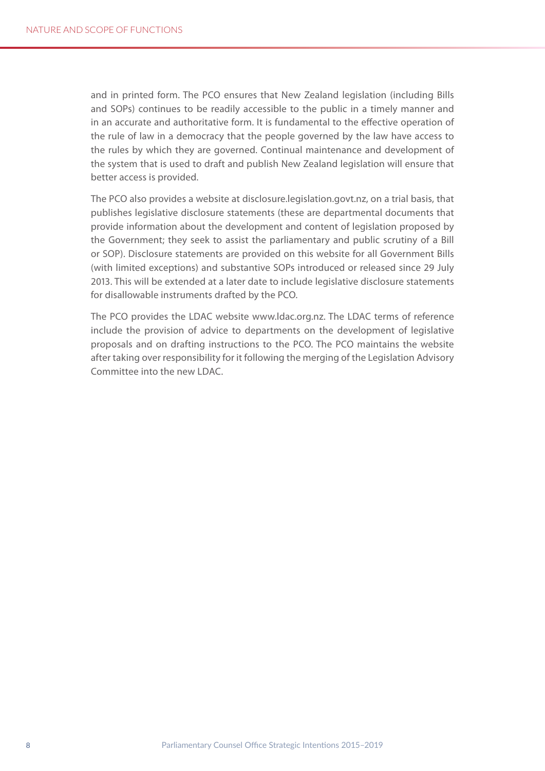and in printed form. The PCO ensures that New Zealand legislation (including Bills and SOPs) continues to be readily accessible to the public in a timely manner and in an accurate and authoritative form. It is fundamental to the effective operation of the rule of law in a democracy that the people governed by the law have access to the rules by which they are governed. Continual maintenance and development of the system that is used to draft and publish New Zealand legislation will ensure that better access is provided.

The PCO also provides a website at disclosure.legislation.govt.nz, on a trial basis, that publishes legislative disclosure statements (these are departmental documents that provide information about the development and content of legislation proposed by the Government; they seek to assist the parliamentary and public scrutiny of a Bill or SOP). Disclosure statements are provided on this website for all Government Bills (with limited exceptions) and substantive SOPs introduced or released since 29 July 2013. This will be extended at a later date to include legislative disclosure statements for disallowable instruments drafted by the PCO.

The PCO provides the LDAC website www.ldac.org.nz. The LDAC terms of reference include the provision of advice to departments on the development of legislative proposals and on drafting instructions to the PCO. The PCO maintains the website after taking over responsibility for it following the merging of the Legislation Advisory Committee into the new LDAC.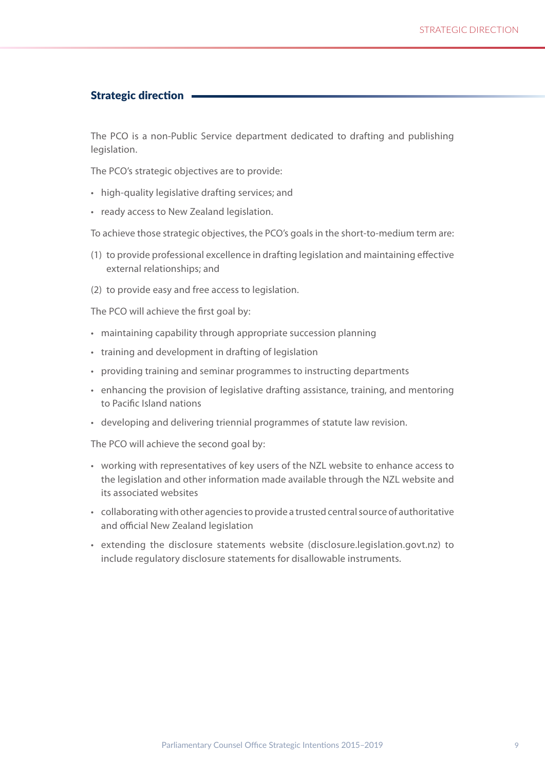#### <span id="page-10-0"></span>Strategic direction

The PCO is a non-Public Service department dedicated to drafting and publishing legislation.

The PCO's strategic objectives are to provide:

- • high-quality legislative drafting services; and
- • ready access to New Zealand legislation.

To achieve those strategic objectives, the PCO's goals in the short-to-medium term are:

- (1) to provide professional excellence in drafting legislation and maintaining effective external relationships; and
- (2) to provide easy and free access to legislation.

The PCO will achieve the first goal by:

- maintaining capability through appropriate succession planning
- • training and development in drafting of legislation
- • providing training and seminar programmes to instructing departments
- enhancing the provision of legislative drafting assistance, training, and mentoring to Pacific Island nations
- • developing and delivering triennial programmes of statute law revision.

The PCO will achieve the second goal by:

- working with representatives of key users of the NZL website to enhance access to the legislation and other information made available through the NZL website and its associated websites
- • collaborating with other agencies to provide a trusted central source of authoritative and official New Zealand legislation
- • extending the disclosure statements website (disclosure.legislation.govt.nz) to include regulatory disclosure statements for disallowable instruments.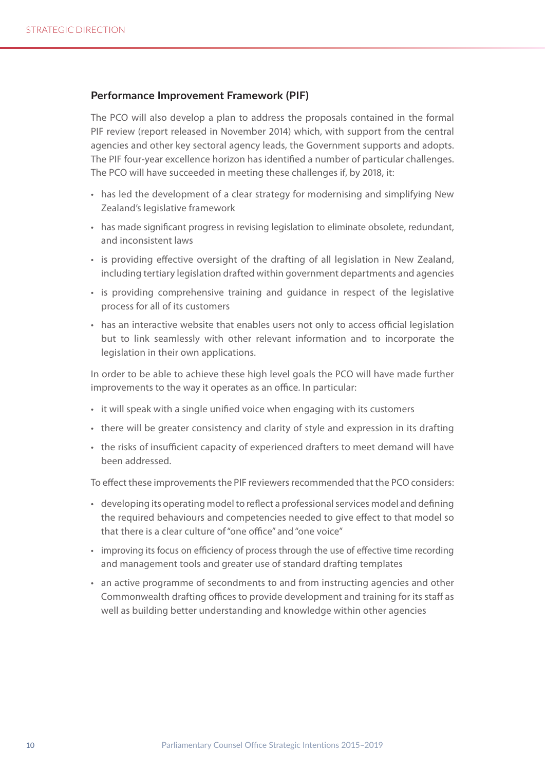#### **Performance Improvement Framework (PIF)**

The PCO will also develop a plan to address the proposals contained in the formal PIF review (report released in November 2014) which, with support from the central agencies and other key sectoral agency leads, the Government supports and adopts. The PIF four-year excellence horizon has identified a number of particular challenges. The PCO will have succeeded in meeting these challenges if, by 2018, it:

- has led the development of a clear strategy for modernising and simplifying New Zealand's legislative framework
- has made significant progress in revising legislation to eliminate obsolete, redundant, and inconsistent laws
- is providing effective oversight of the drafting of all legislation in New Zealand, including tertiary legislation drafted within government departments and agencies
- • is providing comprehensive training and guidance in respect of the legislative process for all of its customers
- has an interactive website that enables users not only to access official legislation but to link seamlessly with other relevant information and to incorporate the legislation in their own applications.

In order to be able to achieve these high level goals the PCO will have made further improvements to the way it operates as an office. In particular:

- it will speak with a single unified voice when engaging with its customers
- there will be greater consistency and clarity of style and expression in its drafting
- the risks of insufficient capacity of experienced drafters to meet demand will have been addressed.

To effect these improvements the PIF reviewers recommended that the PCO considers:

- • developing its operating model to reflect a professional services model and defining the required behaviours and competencies needed to give effect to that model so that there is a clear culture of "one office" and "one voice"
- improving its focus on efficiency of process through the use of effective time recording and management tools and greater use of standard drafting templates
- • an active programme of secondments to and from instructing agencies and other Commonwealth drafting offices to provide development and training for its staff as well as building better understanding and knowledge within other agencies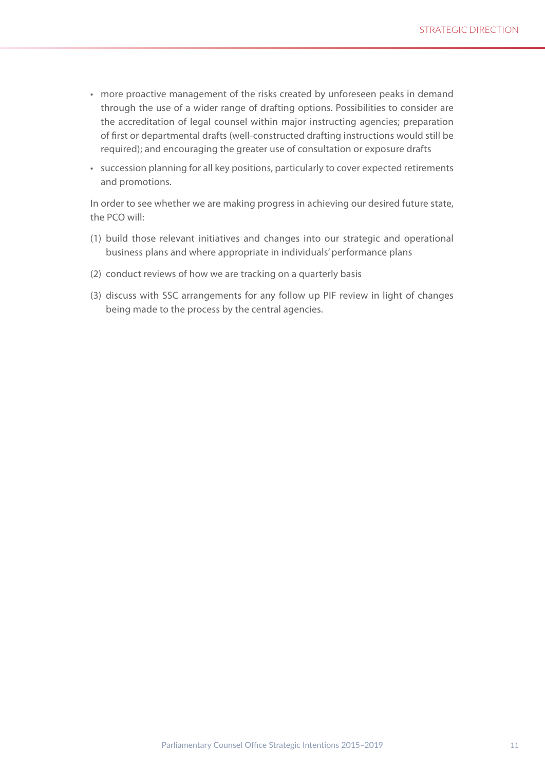- • more proactive management of the risks created by unforeseen peaks in demand through the use of a wider range of drafting options. Possibilities to consider are the accreditation of legal counsel within major instructing agencies; preparation of first or departmental drafts (well-constructed drafting instructions would still be required); and encouraging the greater use of consultation or exposure drafts
- • succession planning for all key positions, particularly to cover expected retirements and promotions.

In order to see whether we are making progress in achieving our desired future state, the PCO will:

- (1) build those relevant initiatives and changes into our strategic and operational business plans and where appropriate in individuals' performance plans
- (2) conduct reviews of how we are tracking on a quarterly basis
- (3) discuss with SSC arrangements for any follow up PIF review in light of changes being made to the process by the central agencies.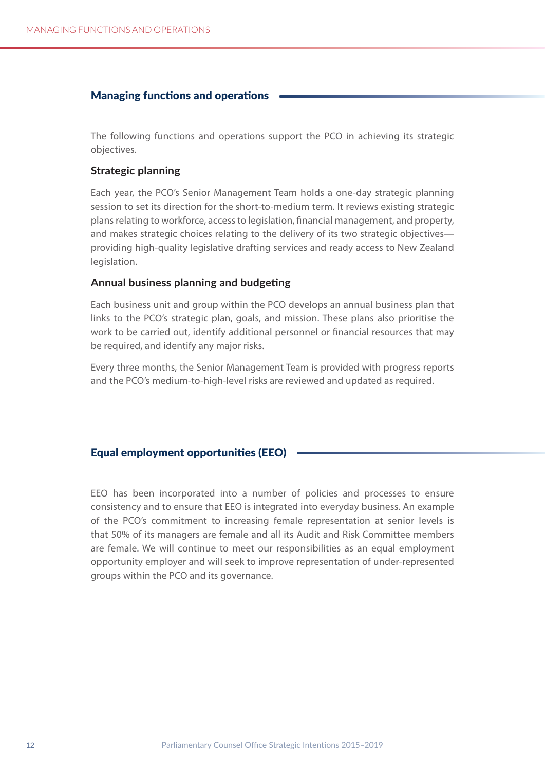#### <span id="page-13-0"></span>Managing functions and operations

The following functions and operations support the PCO in achieving its strategic objectives.

#### **Strategic planning**

Each year, the PCO's Senior Management Team holds a one-day strategic planning session to set its direction for the short-to-medium term. It reviews existing strategic plans relating to workforce, access to legislation, financial management, and property, and makes strategic choices relating to the delivery of its two strategic objectives providing high-quality legislative drafting services and ready access to New Zealand legislation.

#### **Annual business planning and budgeting**

Each business unit and group within the PCO develops an annual business plan that links to the PCO's strategic plan, goals, and mission. These plans also prioritise the work to be carried out, identify additional personnel or financial resources that may be required, and identify any major risks.

Every three months, the Senior Management Team is provided with progress reports and the PCO's medium-to-high-level risks are reviewed and updated as required.

#### Equal employment opportunities (Eeo)

EEO has been incorporated into a number of policies and processes to ensure consistency and to ensure that EEO is integrated into everyday business. An example of the PCO's commitment to increasing female representation at senior levels is that 50% of its managers are female and all its Audit and Risk Committee members are female. We will continue to meet our responsibilities as an equal employment opportunity employer and will seek to improve representation of under-represented groups within the PCO and its governance.